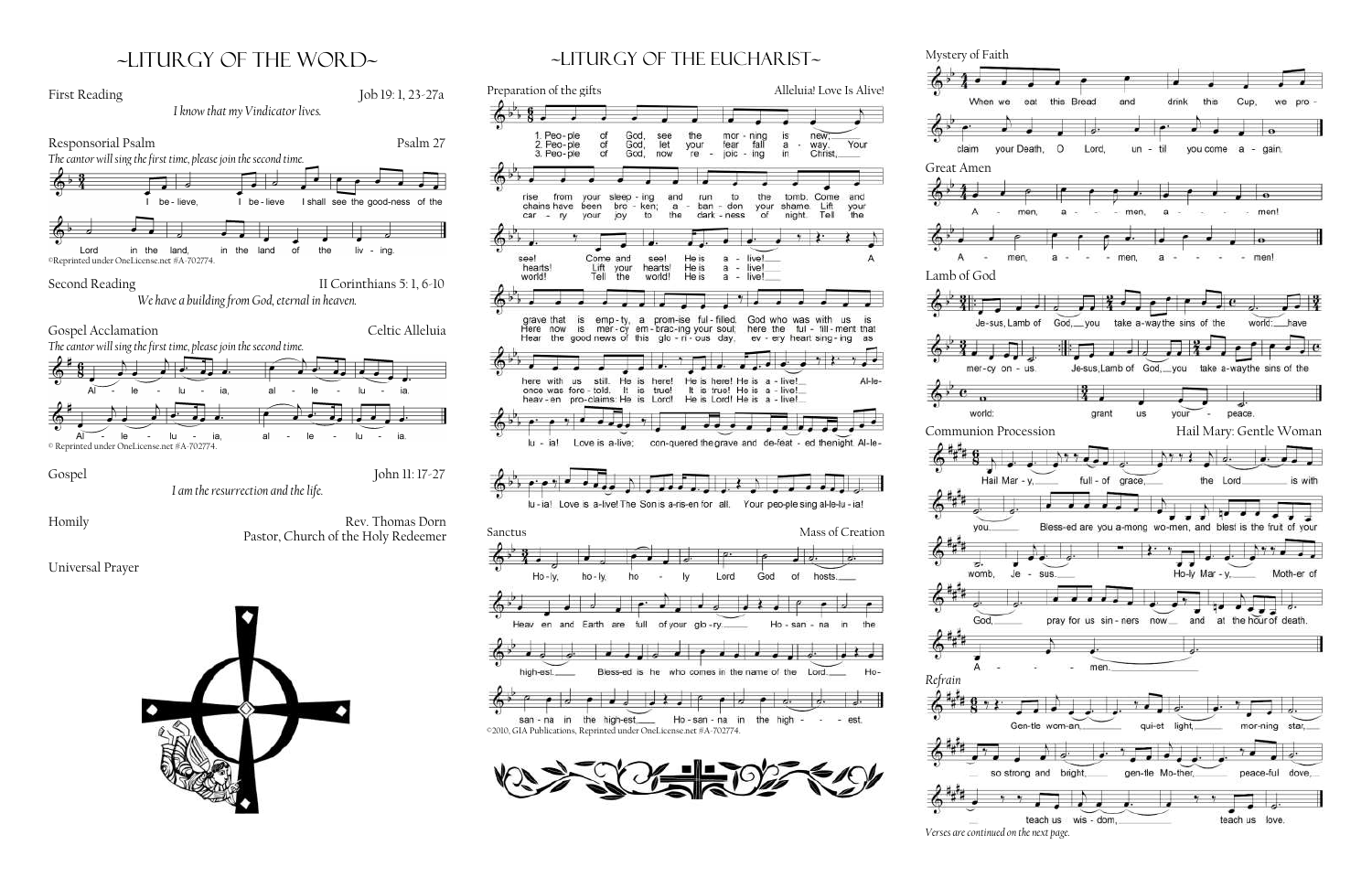## ~liturgy of the word~



~Liturgy of the Eucharist~

the

your

re

run.

ban

and

 $an$ 

mor

fear

joic

to:

- don

dark - ness

fall

ing

the

your<br>of

is

a

in

new

tomb. Come<br>shame. Lift<br>night. Tell

way.<br>Christ,

Your

and

your<br>the



Great Amen

 $4^{\circ}$ 

claim

world:

vou

უ.

womb,

God

 $\bullet$   $\bullet$ 



*Verses are continued on the next page.*